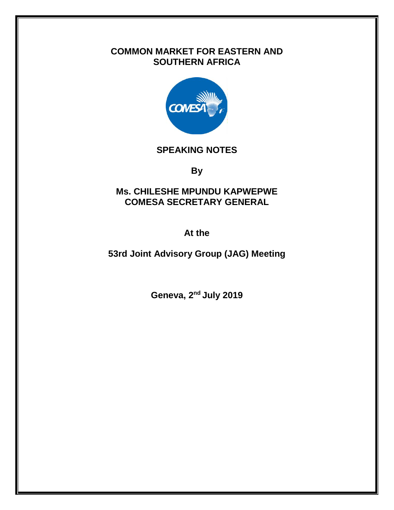# **COMMON MARKET FOR EASTERN AND SOUTHERN AFRICA**



#### **SPEAKING NOTES**

**By**

### **Ms. CHILESHE MPUNDU KAPWEPWE COMESA SECRETARY GENERAL**

**At the**

**53rd Joint Advisory Group (JAG) Meeting**

**Geneva, 2 nd July 2019**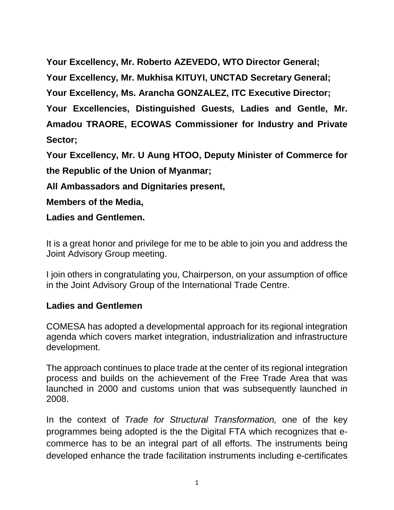**Your Excellency, Mr. Roberto AZEVEDO, WTO Director General; Your Excellency, Mr. Mukhisa KITUYI, UNCTAD Secretary General; Your Excellency, Ms. Arancha GONZALEZ, ITC Executive Director; Your Excellencies, Distinguished Guests, Ladies and Gentle, Mr. Amadou TRAORE, ECOWAS Commissioner for Industry and Private Sector;**

**Your Excellency, Mr. U Aung HTOO, Deputy Minister of Commerce for the Republic of the Union of Myanmar;**

**All Ambassadors and Dignitaries present,**

**Members of the Media,**

**Ladies and Gentlemen.**

It is a great honor and privilege for me to be able to join you and address the Joint Advisory Group meeting.

I join others in congratulating you, Chairperson, on your assumption of office in the Joint Advisory Group of the International Trade Centre.

# **Ladies and Gentlemen**

COMESA has adopted a developmental approach for its regional integration agenda which covers market integration, industrialization and infrastructure development.

The approach continues to place trade at the center of its regional integration process and builds on the achievement of the Free Trade Area that was launched in 2000 and customs union that was subsequently launched in 2008.

In the context of *Trade for Structural Transformation,* one of the key programmes being adopted is the the Digital FTA which recognizes that ecommerce has to be an integral part of all efforts. The instruments being developed enhance the trade facilitation instruments including e-certificates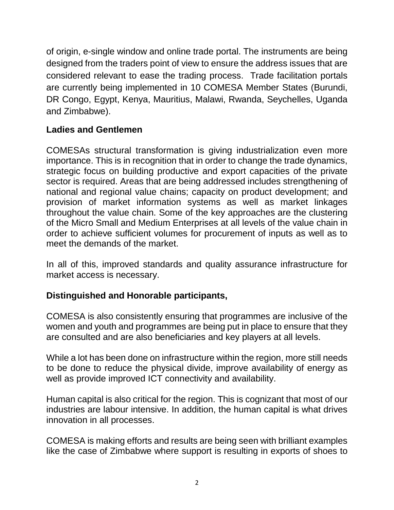of origin, e-single window and online trade portal. The instruments are being designed from the traders point of view to ensure the address issues that are considered relevant to ease the trading process. Trade facilitation portals are currently being implemented in 10 COMESA Member States (Burundi, DR Congo, Egypt, Kenya, Mauritius, Malawi, Rwanda, Seychelles, Uganda and Zimbabwe).

#### **Ladies and Gentlemen**

COMESAs structural transformation is giving industrialization even more importance. This is in recognition that in order to change the trade dynamics, strategic focus on building productive and export capacities of the private sector is required. Areas that are being addressed includes strengthening of national and regional value chains; capacity on product development; and provision of market information systems as well as market linkages throughout the value chain. Some of the key approaches are the clustering of the Micro Small and Medium Enterprises at all levels of the value chain in order to achieve sufficient volumes for procurement of inputs as well as to meet the demands of the market.

In all of this, improved standards and quality assurance infrastructure for market access is necessary.

# **Distinguished and Honorable participants,**

COMESA is also consistently ensuring that programmes are inclusive of the women and youth and programmes are being put in place to ensure that they are consulted and are also beneficiaries and key players at all levels.

While a lot has been done on infrastructure within the region, more still needs to be done to reduce the physical divide, improve availability of energy as well as provide improved ICT connectivity and availability.

Human capital is also critical for the region. This is cognizant that most of our industries are labour intensive. In addition, the human capital is what drives innovation in all processes.

COMESA is making efforts and results are being seen with brilliant examples like the case of Zimbabwe where support is resulting in exports of shoes to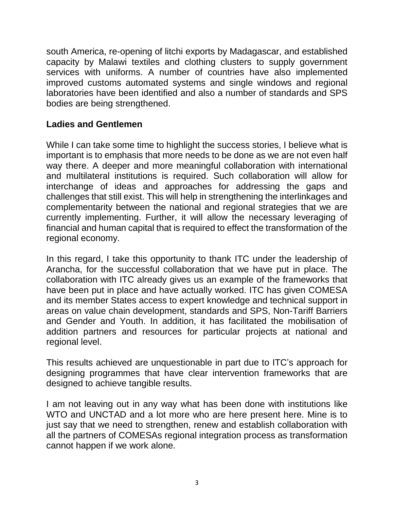south America, re-opening of litchi exports by Madagascar, and established capacity by Malawi textiles and clothing clusters to supply government services with uniforms. A number of countries have also implemented improved customs automated systems and single windows and regional laboratories have been identified and also a number of standards and SPS bodies are being strengthened.

## **Ladies and Gentlemen**

While I can take some time to highlight the success stories, I believe what is important is to emphasis that more needs to be done as we are not even half way there. A deeper and more meaningful collaboration with international and multilateral institutions is required. Such collaboration will allow for interchange of ideas and approaches for addressing the gaps and challenges that still exist. This will help in strengthening the interlinkages and complementarity between the national and regional strategies that we are currently implementing. Further, it will allow the necessary leveraging of financial and human capital that is required to effect the transformation of the regional economy.

In this regard, I take this opportunity to thank ITC under the leadership of Arancha, for the successful collaboration that we have put in place. The collaboration with ITC already gives us an example of the frameworks that have been put in place and have actually worked. ITC has given COMESA and its member States access to expert knowledge and technical support in areas on value chain development, standards and SPS, Non-Tariff Barriers and Gender and Youth. In addition, it has facilitated the mobilisation of addition partners and resources for particular projects at national and regional level.

This results achieved are unquestionable in part due to ITC's approach for designing programmes that have clear intervention frameworks that are designed to achieve tangible results.

I am not leaving out in any way what has been done with institutions like WTO and UNCTAD and a lot more who are here present here. Mine is to just say that we need to strengthen, renew and establish collaboration with all the partners of COMESAs regional integration process as transformation cannot happen if we work alone.